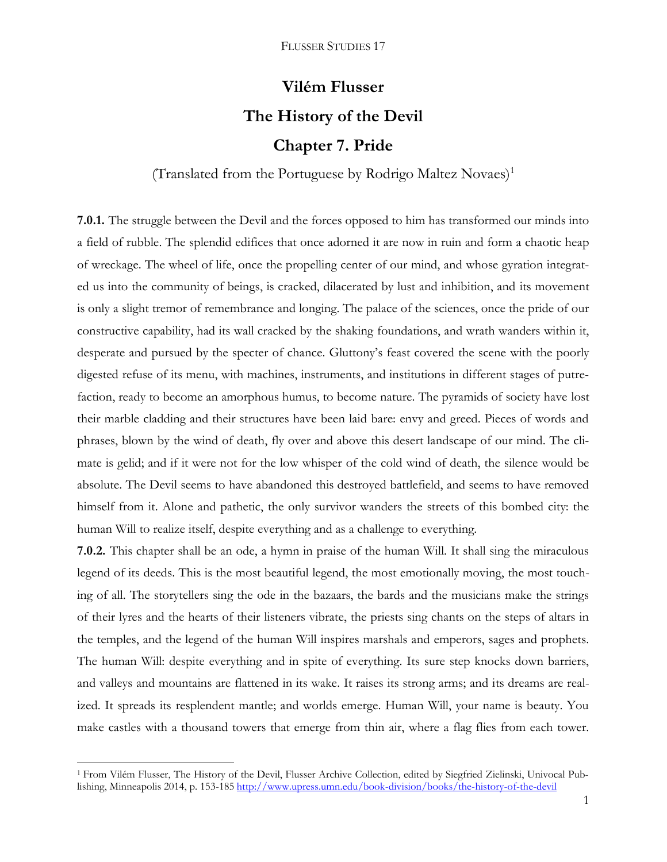# **Vilém Flusser The History of the Devil Chapter 7. Pride**

(Translated from the Portuguese by Rodrigo Maltez Novaes)<sup>1</sup>

**7.0.1.** The struggle between the Devil and the forces opposed to him has transformed our minds into a field of rubble. The splendid edifices that once adorned it are now in ruin and form a chaotic heap of wreckage. The wheel of life, once the propelling center of our mind, and whose gyration integrated us into the community of beings, is cracked, dilacerated by lust and inhibition, and its movement is only a slight tremor of remembrance and longing. The palace of the sciences, once the pride of our constructive capability, had its wall cracked by the shaking foundations, and wrath wanders within it, desperate and pursued by the specter of chance. Gluttony's feast covered the scene with the poorly digested refuse of its menu, with machines, instruments, and institutions in different stages of putrefaction, ready to become an amorphous humus, to become nature. The pyramids of society have lost their marble cladding and their structures have been laid bare: envy and greed. Pieces of words and phrases, blown by the wind of death, fly over and above this desert landscape of our mind. The climate is gelid; and if it were not for the low whisper of the cold wind of death, the silence would be absolute. The Devil seems to have abandoned this destroyed battlefield, and seems to have removed himself from it. Alone and pathetic, the only survivor wanders the streets of this bombed city: the human Will to realize itself, despite everything and as a challenge to everything.

**7.0.2.** This chapter shall be an ode, a hymn in praise of the human Will. It shall sing the miraculous legend of its deeds. This is the most beautiful legend, the most emotionally moving, the most touching of all. The storytellers sing the ode in the bazaars, the bards and the musicians make the strings of their lyres and the hearts of their listeners vibrate, the priests sing chants on the steps of altars in the temples, and the legend of the human Will inspires marshals and emperors, sages and prophets. The human Will: despite everything and in spite of everything. Its sure step knocks down barriers, and valleys and mountains are flattened in its wake. It raises its strong arms; and its dreams are realized. It spreads its resplendent mantle; and worlds emerge. Human Will, your name is beauty. You make castles with a thousand towers that emerge from thin air, where a flag flies from each tower.

l

<sup>1</sup> From Vilém Flusser, The History of the Devil, Flusser Archive Collection, edited by Siegfried Zielinski, Univocal Publishing, Minneapolis 2014, p. 153-185 <http://www.upress.umn.edu/book-division/books/the-history-of-the-devil>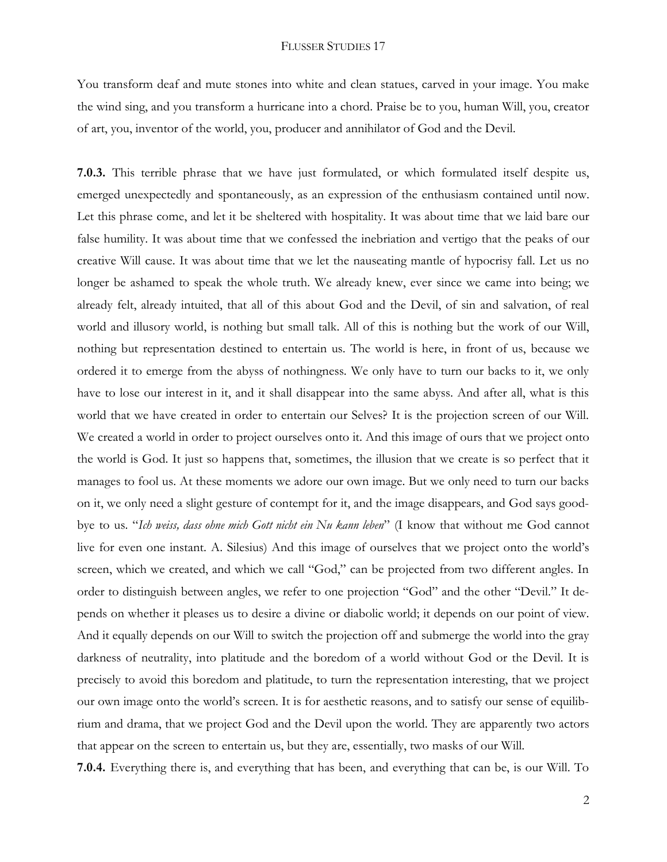You transform deaf and mute stones into white and clean statues, carved in your image. You make the wind sing, and you transform a hurricane into a chord. Praise be to you, human Will, you, creator of art, you, inventor of the world, you, producer and annihilator of God and the Devil.

**7.0.3.** This terrible phrase that we have just formulated, or which formulated itself despite us, emerged unexpectedly and spontaneously, as an expression of the enthusiasm contained until now. Let this phrase come, and let it be sheltered with hospitality. It was about time that we laid bare our false humility. It was about time that we confessed the inebriation and vertigo that the peaks of our creative Will cause. It was about time that we let the nauseating mantle of hypocrisy fall. Let us no longer be ashamed to speak the whole truth. We already knew, ever since we came into being; we already felt, already intuited, that all of this about God and the Devil, of sin and salvation, of real world and illusory world, is nothing but small talk. All of this is nothing but the work of our Will, nothing but representation destined to entertain us. The world is here, in front of us, because we ordered it to emerge from the abyss of nothingness. We only have to turn our backs to it, we only have to lose our interest in it, and it shall disappear into the same abyss. And after all, what is this world that we have created in order to entertain our Selves? It is the projection screen of our Will. We created a world in order to project ourselves onto it. And this image of ours that we project onto the world is God. It just so happens that, sometimes, the illusion that we create is so perfect that it manages to fool us. At these moments we adore our own image. But we only need to turn our backs on it, we only need a slight gesture of contempt for it, and the image disappears, and God says goodbye to us. "*Ich weiss, dass ohne mich Gott nicht ein Nu kann leben*" (I know that without me God cannot live for even one instant. A. Silesius) And this image of ourselves that we project onto the world's screen, which we created, and which we call "God," can be projected from two different angles. In order to distinguish between angles, we refer to one projection "God" and the other "Devil." It depends on whether it pleases us to desire a divine or diabolic world; it depends on our point of view. And it equally depends on our Will to switch the projection off and submerge the world into the gray darkness of neutrality, into platitude and the boredom of a world without God or the Devil. It is precisely to avoid this boredom and platitude, to turn the representation interesting, that we project our own image onto the world's screen. It is for aesthetic reasons, and to satisfy our sense of equilibrium and drama, that we project God and the Devil upon the world. They are apparently two actors that appear on the screen to entertain us, but they are, essentially, two masks of our Will.

**7.0.4.** Everything there is, and everything that has been, and everything that can be, is our Will. To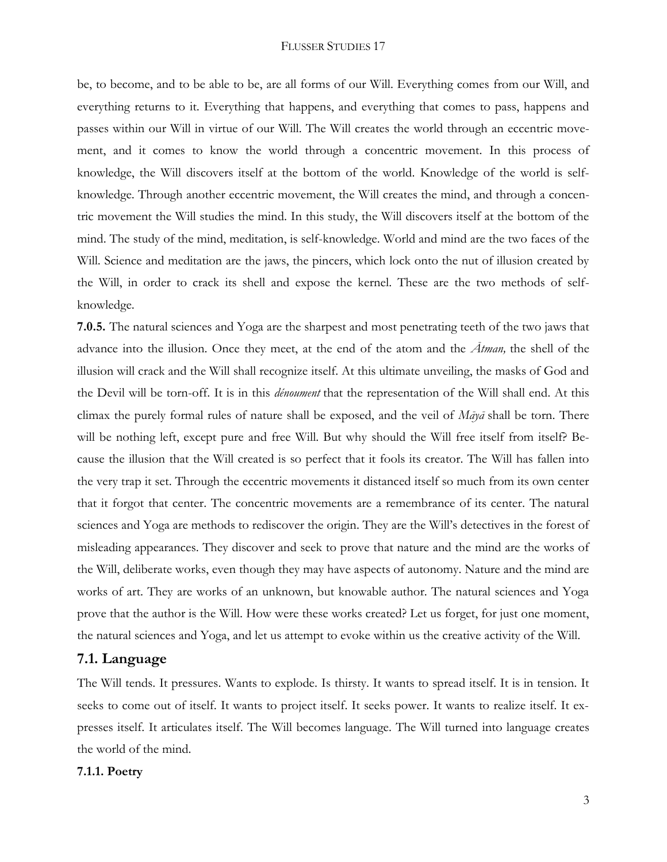be, to become, and to be able to be, are all forms of our Will. Everything comes from our Will, and everything returns to it. Everything that happens, and everything that comes to pass, happens and passes within our Will in virtue of our Will. The Will creates the world through an eccentric movement, and it comes to know the world through a concentric movement. In this process of knowledge, the Will discovers itself at the bottom of the world. Knowledge of the world is selfknowledge. Through another eccentric movement, the Will creates the mind, and through a concentric movement the Will studies the mind. In this study, the Will discovers itself at the bottom of the mind. The study of the mind, meditation, is self-knowledge. World and mind are the two faces of the Will. Science and meditation are the jaws, the pincers, which lock onto the nut of illusion created by the Will, in order to crack its shell and expose the kernel. These are the two methods of selfknowledge.

**7.0.5.** The natural sciences and Yoga are the sharpest and most penetrating teeth of the two jaws that advance into the illusion. Once they meet, at the end of the atom and the *Ātman,* the shell of the illusion will crack and the Will shall recognize itself. At this ultimate unveiling, the masks of God and the Devil will be torn-off. It is in this *dénoument* that the representation of the Will shall end. At this climax the purely formal rules of nature shall be exposed, and the veil of *Māyā* shall be torn. There will be nothing left, except pure and free Will. But why should the Will free itself from itself? Because the illusion that the Will created is so perfect that it fools its creator. The Will has fallen into the very trap it set. Through the eccentric movements it distanced itself so much from its own center that it forgot that center. The concentric movements are a remembrance of its center. The natural sciences and Yoga are methods to rediscover the origin. They are the Will's detectives in the forest of misleading appearances. They discover and seek to prove that nature and the mind are the works of the Will, deliberate works, even though they may have aspects of autonomy. Nature and the mind are works of art. They are works of an unknown, but knowable author. The natural sciences and Yoga prove that the author is the Will. How were these works created? Let us forget, for just one moment, the natural sciences and Yoga, and let us attempt to evoke within us the creative activity of the Will.

# **7.1. Language**

The Will tends. It pressures. Wants to explode. Is thirsty. It wants to spread itself. It is in tension. It seeks to come out of itself. It wants to project itself. It seeks power. It wants to realize itself. It expresses itself. It articulates itself. The Will becomes language. The Will turned into language creates the world of the mind.

# **7.1.1. Poetry**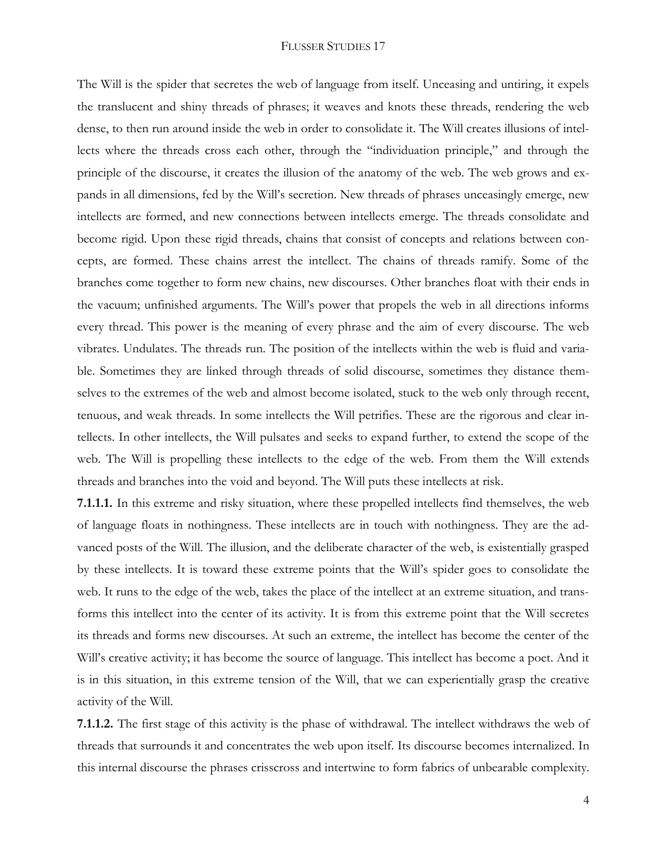The Will is the spider that secretes the web of language from itself. Unceasing and untiring, it expels the translucent and shiny threads of phrases; it weaves and knots these threads, rendering the web dense, to then run around inside the web in order to consolidate it. The Will creates illusions of intellects where the threads cross each other, through the "individuation principle," and through the principle of the discourse, it creates the illusion of the anatomy of the web. The web grows and expands in all dimensions, fed by the Will's secretion. New threads of phrases unceasingly emerge, new intellects are formed, and new connections between intellects emerge. The threads consolidate and become rigid. Upon these rigid threads, chains that consist of concepts and relations between concepts, are formed. These chains arrest the intellect. The chains of threads ramify. Some of the branches come together to form new chains, new discourses. Other branches float with their ends in the vacuum; unfinished arguments. The Will's power that propels the web in all directions informs every thread. This power is the meaning of every phrase and the aim of every discourse. The web vibrates. Undulates. The threads run. The position of the intellects within the web is fluid and variable. Sometimes they are linked through threads of solid discourse, sometimes they distance themselves to the extremes of the web and almost become isolated, stuck to the web only through recent, tenuous, and weak threads. In some intellects the Will petrifies. These are the rigorous and clear intellects. In other intellects, the Will pulsates and seeks to expand further, to extend the scope of the web. The Will is propelling these intellects to the edge of the web. From them the Will extends threads and branches into the void and beyond. The Will puts these intellects at risk.

**7.1.1.1.** In this extreme and risky situation, where these propelled intellects find themselves, the web of language floats in nothingness. These intellects are in touch with nothingness. They are the advanced posts of the Will. The illusion, and the deliberate character of the web, is existentially grasped by these intellects. It is toward these extreme points that the Will's spider goes to consolidate the web. It runs to the edge of the web, takes the place of the intellect at an extreme situation, and transforms this intellect into the center of its activity. It is from this extreme point that the Will secretes its threads and forms new discourses. At such an extreme, the intellect has become the center of the Will's creative activity; it has become the source of language. This intellect has become a poet. And it is in this situation, in this extreme tension of the Will, that we can experientially grasp the creative activity of the Will.

**7.1.1.2.** The first stage of this activity is the phase of withdrawal. The intellect withdraws the web of threads that surrounds it and concentrates the web upon itself. Its discourse becomes internalized. In this internal discourse the phrases crisscross and intertwine to form fabrics of unbearable complexity.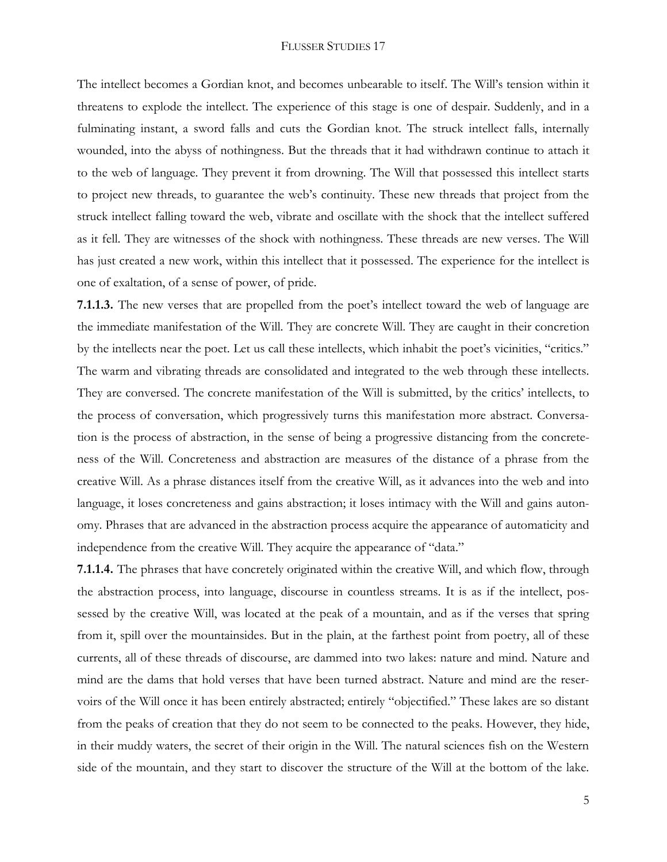The intellect becomes a Gordian knot, and becomes unbearable to itself. The Will's tension within it threatens to explode the intellect. The experience of this stage is one of despair. Suddenly, and in a fulminating instant, a sword falls and cuts the Gordian knot. The struck intellect falls, internally wounded, into the abyss of nothingness. But the threads that it had withdrawn continue to attach it to the web of language. They prevent it from drowning. The Will that possessed this intellect starts to project new threads, to guarantee the web's continuity. These new threads that project from the struck intellect falling toward the web, vibrate and oscillate with the shock that the intellect suffered as it fell. They are witnesses of the shock with nothingness. These threads are new verses. The Will has just created a new work, within this intellect that it possessed. The experience for the intellect is one of exaltation, of a sense of power, of pride.

**7.1.1.3.** The new verses that are propelled from the poet's intellect toward the web of language are the immediate manifestation of the Will. They are concrete Will. They are caught in their concretion by the intellects near the poet. Let us call these intellects, which inhabit the poet's vicinities, "critics." The warm and vibrating threads are consolidated and integrated to the web through these intellects. They are conversed. The concrete manifestation of the Will is submitted, by the critics' intellects, to the process of conversation, which progressively turns this manifestation more abstract. Conversation is the process of abstraction, in the sense of being a progressive distancing from the concreteness of the Will. Concreteness and abstraction are measures of the distance of a phrase from the creative Will. As a phrase distances itself from the creative Will, as it advances into the web and into language, it loses concreteness and gains abstraction; it loses intimacy with the Will and gains autonomy. Phrases that are advanced in the abstraction process acquire the appearance of automaticity and independence from the creative Will. They acquire the appearance of "data."

**7.1.1.4.** The phrases that have concretely originated within the creative Will, and which flow, through the abstraction process, into language, discourse in countless streams. It is as if the intellect, possessed by the creative Will, was located at the peak of a mountain, and as if the verses that spring from it, spill over the mountainsides. But in the plain, at the farthest point from poetry, all of these currents, all of these threads of discourse, are dammed into two lakes: nature and mind. Nature and mind are the dams that hold verses that have been turned abstract. Nature and mind are the reservoirs of the Will once it has been entirely abstracted; entirely "objectified." These lakes are so distant from the peaks of creation that they do not seem to be connected to the peaks. However, they hide, in their muddy waters, the secret of their origin in the Will. The natural sciences fish on the Western side of the mountain, and they start to discover the structure of the Will at the bottom of the lake.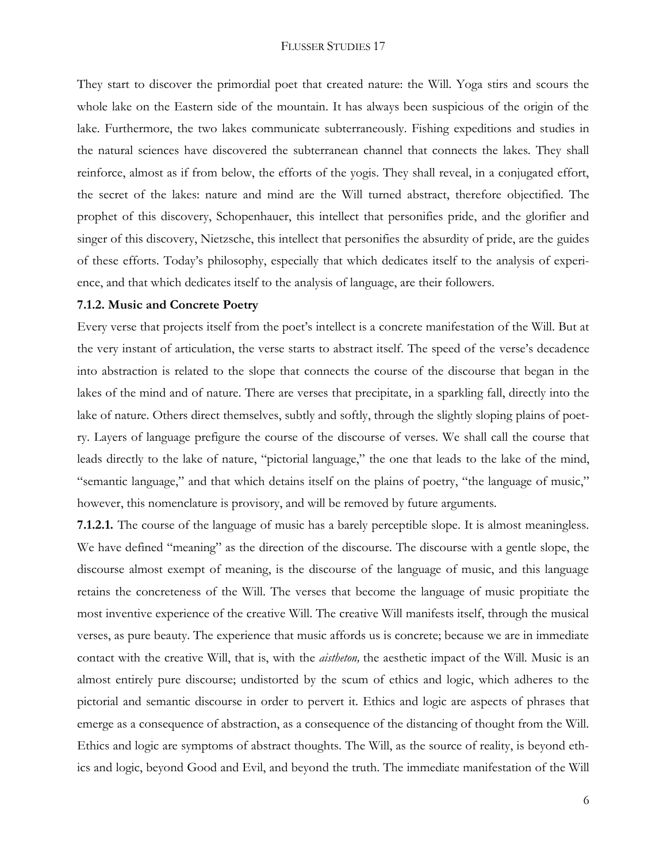They start to discover the primordial poet that created nature: the Will. Yoga stirs and scours the whole lake on the Eastern side of the mountain. It has always been suspicious of the origin of the lake. Furthermore, the two lakes communicate subterraneously. Fishing expeditions and studies in the natural sciences have discovered the subterranean channel that connects the lakes. They shall reinforce, almost as if from below, the efforts of the yogis. They shall reveal, in a conjugated effort, the secret of the lakes: nature and mind are the Will turned abstract, therefore objectified. The prophet of this discovery, Schopenhauer, this intellect that personifies pride, and the glorifier and singer of this discovery, Nietzsche, this intellect that personifies the absurdity of pride, are the guides of these efforts. Today's philosophy, especially that which dedicates itself to the analysis of experience, and that which dedicates itself to the analysis of language, are their followers.

# **7.1.2. Music and Concrete Poetry**

Every verse that projects itself from the poet's intellect is a concrete manifestation of the Will. But at the very instant of articulation, the verse starts to abstract itself. The speed of the verse's decadence into abstraction is related to the slope that connects the course of the discourse that began in the lakes of the mind and of nature. There are verses that precipitate, in a sparkling fall, directly into the lake of nature. Others direct themselves, subtly and softly, through the slightly sloping plains of poetry. Layers of language prefigure the course of the discourse of verses. We shall call the course that leads directly to the lake of nature, "pictorial language," the one that leads to the lake of the mind, "semantic language," and that which detains itself on the plains of poetry, "the language of music," however, this nomenclature is provisory, and will be removed by future arguments.

**7.1.2.1.** The course of the language of music has a barely perceptible slope. It is almost meaningless. We have defined "meaning" as the direction of the discourse. The discourse with a gentle slope, the discourse almost exempt of meaning, is the discourse of the language of music, and this language retains the concreteness of the Will. The verses that become the language of music propitiate the most inventive experience of the creative Will. The creative Will manifests itself, through the musical verses, as pure beauty. The experience that music affords us is concrete; because we are in immediate contact with the creative Will, that is, with the *aistheton,* the aesthetic impact of the Will. Music is an almost entirely pure discourse; undistorted by the scum of ethics and logic, which adheres to the pictorial and semantic discourse in order to pervert it. Ethics and logic are aspects of phrases that emerge as a consequence of abstraction, as a consequence of the distancing of thought from the Will. Ethics and logic are symptoms of abstract thoughts. The Will, as the source of reality, is beyond ethics and logic, beyond Good and Evil, and beyond the truth. The immediate manifestation of the Will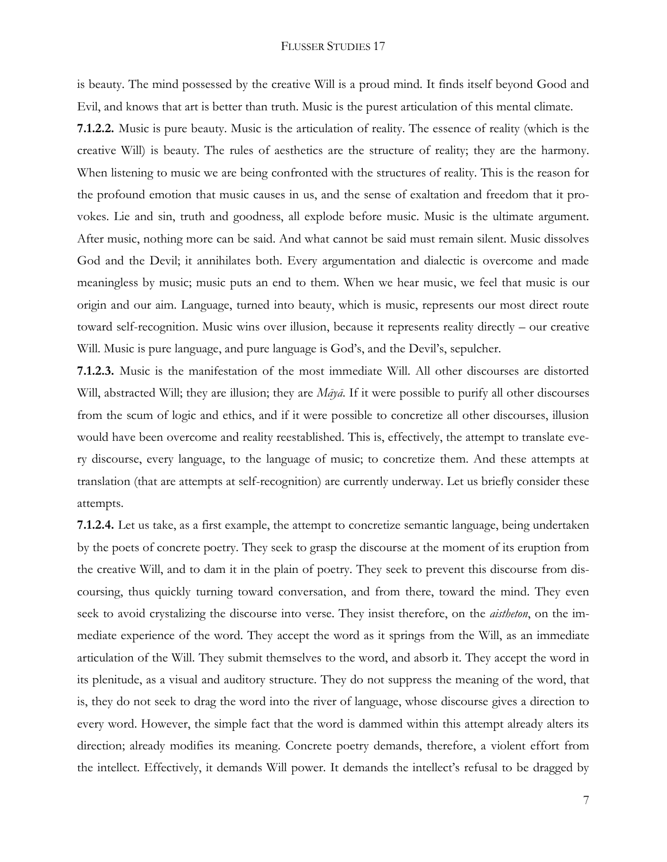is beauty. The mind possessed by the creative Will is a proud mind. It finds itself beyond Good and Evil, and knows that art is better than truth. Music is the purest articulation of this mental climate.

**7.1.2.2.** Music is pure beauty. Music is the articulation of reality. The essence of reality (which is the creative Will) is beauty. The rules of aesthetics are the structure of reality; they are the harmony. When listening to music we are being confronted with the structures of reality. This is the reason for the profound emotion that music causes in us, and the sense of exaltation and freedom that it provokes. Lie and sin, truth and goodness, all explode before music. Music is the ultimate argument. After music, nothing more can be said. And what cannot be said must remain silent. Music dissolves God and the Devil; it annihilates both. Every argumentation and dialectic is overcome and made meaningless by music; music puts an end to them. When we hear music, we feel that music is our origin and our aim. Language, turned into beauty, which is music, represents our most direct route toward self-recognition. Music wins over illusion, because it represents reality directly – our creative Will. Music is pure language, and pure language is God's, and the Devil's, sepulcher.

**7.1.2.3.** Music is the manifestation of the most immediate Will. All other discourses are distorted Will, abstracted Will; they are illusion; they are *Māyā*. If it were possible to purify all other discourses from the scum of logic and ethics, and if it were possible to concretize all other discourses, illusion would have been overcome and reality reestablished. This is, effectively, the attempt to translate every discourse, every language, to the language of music; to concretize them. And these attempts at translation (that are attempts at self-recognition) are currently underway. Let us briefly consider these attempts.

**7.1.2.4.** Let us take, as a first example, the attempt to concretize semantic language, being undertaken by the poets of concrete poetry. They seek to grasp the discourse at the moment of its eruption from the creative Will, and to dam it in the plain of poetry. They seek to prevent this discourse from discoursing, thus quickly turning toward conversation, and from there, toward the mind. They even seek to avoid crystalizing the discourse into verse. They insist therefore, on the *aistheton*, on the immediate experience of the word. They accept the word as it springs from the Will, as an immediate articulation of the Will. They submit themselves to the word, and absorb it. They accept the word in its plenitude, as a visual and auditory structure. They do not suppress the meaning of the word, that is, they do not seek to drag the word into the river of language, whose discourse gives a direction to every word. However, the simple fact that the word is dammed within this attempt already alters its direction; already modifies its meaning. Concrete poetry demands, therefore, a violent effort from the intellect. Effectively, it demands Will power. It demands the intellect's refusal to be dragged by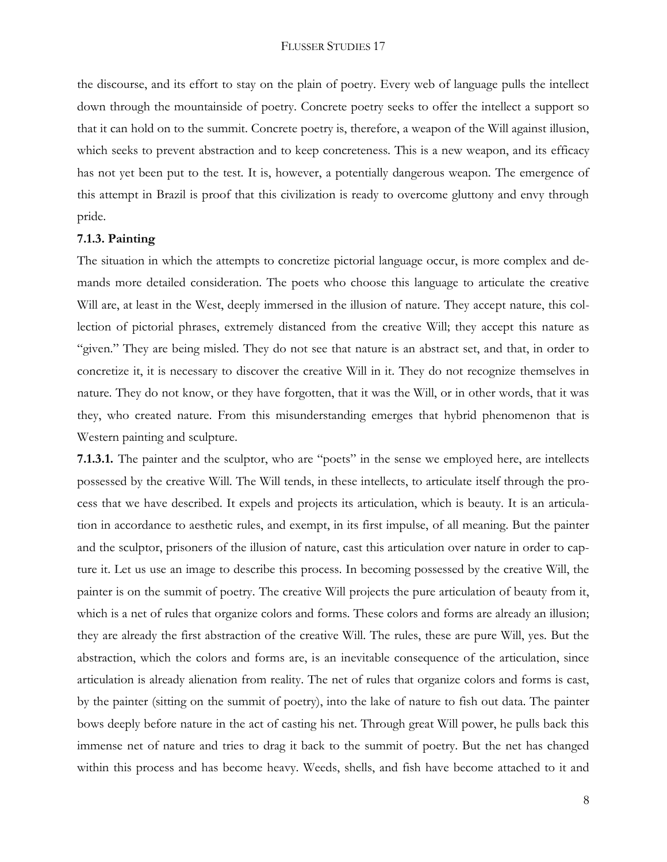the discourse, and its effort to stay on the plain of poetry. Every web of language pulls the intellect down through the mountainside of poetry. Concrete poetry seeks to offer the intellect a support so that it can hold on to the summit. Concrete poetry is, therefore, a weapon of the Will against illusion, which seeks to prevent abstraction and to keep concreteness. This is a new weapon, and its efficacy has not yet been put to the test. It is, however, a potentially dangerous weapon. The emergence of this attempt in Brazil is proof that this civilization is ready to overcome gluttony and envy through pride.

# **7.1.3. Painting**

The situation in which the attempts to concretize pictorial language occur, is more complex and demands more detailed consideration. The poets who choose this language to articulate the creative Will are, at least in the West, deeply immersed in the illusion of nature. They accept nature, this collection of pictorial phrases, extremely distanced from the creative Will; they accept this nature as "given." They are being misled. They do not see that nature is an abstract set, and that, in order to concretize it, it is necessary to discover the creative Will in it. They do not recognize themselves in nature. They do not know, or they have forgotten, that it was the Will, or in other words, that it was they, who created nature. From this misunderstanding emerges that hybrid phenomenon that is Western painting and sculpture.

**7.1.3.1.** The painter and the sculptor, who are "poets" in the sense we employed here, are intellects possessed by the creative Will. The Will tends, in these intellects, to articulate itself through the process that we have described. It expels and projects its articulation, which is beauty. It is an articulation in accordance to aesthetic rules, and exempt, in its first impulse, of all meaning. But the painter and the sculptor, prisoners of the illusion of nature, cast this articulation over nature in order to capture it. Let us use an image to describe this process. In becoming possessed by the creative Will, the painter is on the summit of poetry. The creative Will projects the pure articulation of beauty from it, which is a net of rules that organize colors and forms. These colors and forms are already an illusion; they are already the first abstraction of the creative Will. The rules, these are pure Will, yes. But the abstraction, which the colors and forms are, is an inevitable consequence of the articulation, since articulation is already alienation from reality. The net of rules that organize colors and forms is cast, by the painter (sitting on the summit of poetry), into the lake of nature to fish out data. The painter bows deeply before nature in the act of casting his net. Through great Will power, he pulls back this immense net of nature and tries to drag it back to the summit of poetry. But the net has changed within this process and has become heavy. Weeds, shells, and fish have become attached to it and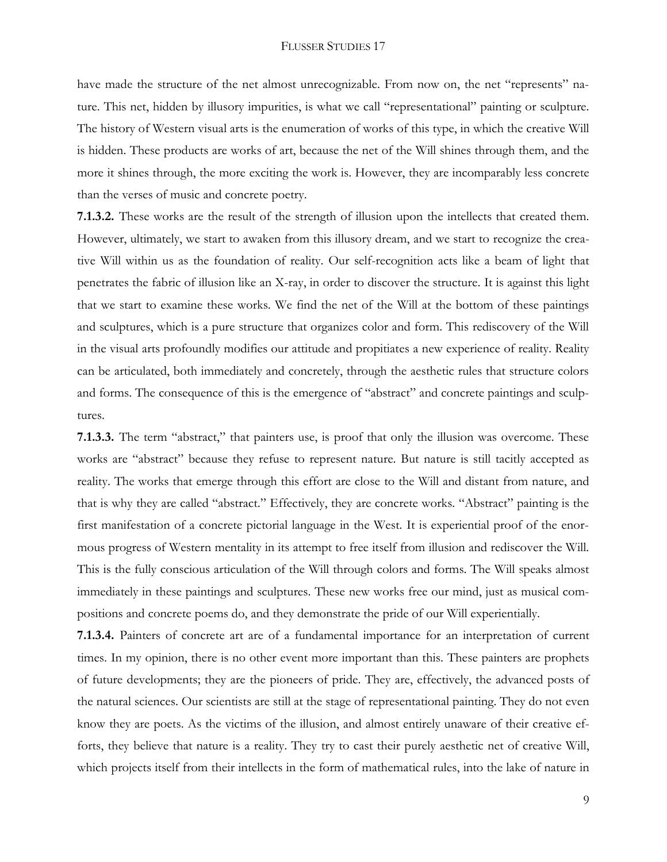have made the structure of the net almost unrecognizable. From now on, the net "represents" nature. This net, hidden by illusory impurities, is what we call "representational" painting or sculpture. The history of Western visual arts is the enumeration of works of this type, in which the creative Will is hidden. These products are works of art, because the net of the Will shines through them, and the more it shines through, the more exciting the work is. However, they are incomparably less concrete than the verses of music and concrete poetry.

**7.1.3.2.** These works are the result of the strength of illusion upon the intellects that created them. However, ultimately, we start to awaken from this illusory dream, and we start to recognize the creative Will within us as the foundation of reality. Our self-recognition acts like a beam of light that penetrates the fabric of illusion like an X-ray, in order to discover the structure. It is against this light that we start to examine these works. We find the net of the Will at the bottom of these paintings and sculptures, which is a pure structure that organizes color and form. This rediscovery of the Will in the visual arts profoundly modifies our attitude and propitiates a new experience of reality. Reality can be articulated, both immediately and concretely, through the aesthetic rules that structure colors and forms. The consequence of this is the emergence of "abstract" and concrete paintings and sculptures.

**7.1.3.3.** The term "abstract," that painters use, is proof that only the illusion was overcome. These works are "abstract" because they refuse to represent nature. But nature is still tacitly accepted as reality. The works that emerge through this effort are close to the Will and distant from nature, and that is why they are called "abstract." Effectively, they are concrete works. "Abstract" painting is the first manifestation of a concrete pictorial language in the West. It is experiential proof of the enormous progress of Western mentality in its attempt to free itself from illusion and rediscover the Will. This is the fully conscious articulation of the Will through colors and forms. The Will speaks almost immediately in these paintings and sculptures. These new works free our mind, just as musical compositions and concrete poems do, and they demonstrate the pride of our Will experientially.

**7.1.3.4.** Painters of concrete art are of a fundamental importance for an interpretation of current times. In my opinion, there is no other event more important than this. These painters are prophets of future developments; they are the pioneers of pride. They are, effectively, the advanced posts of the natural sciences. Our scientists are still at the stage of representational painting. They do not even know they are poets. As the victims of the illusion, and almost entirely unaware of their creative efforts, they believe that nature is a reality. They try to cast their purely aesthetic net of creative Will, which projects itself from their intellects in the form of mathematical rules, into the lake of nature in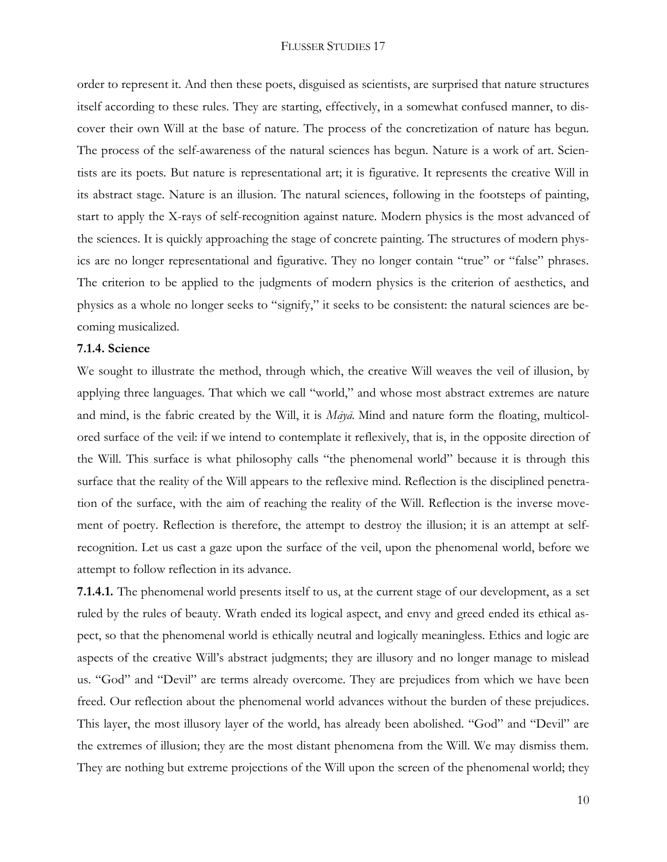order to represent it. And then these poets, disguised as scientists, are surprised that nature structures itself according to these rules. They are starting, effectively, in a somewhat confused manner, to discover their own Will at the base of nature. The process of the concretization of nature has begun. The process of the self-awareness of the natural sciences has begun. Nature is a work of art. Scientists are its poets. But nature is representational art; it is figurative. It represents the creative Will in its abstract stage. Nature is an illusion. The natural sciences, following in the footsteps of painting, start to apply the X-rays of self-recognition against nature. Modern physics is the most advanced of the sciences. It is quickly approaching the stage of concrete painting. The structures of modern physics are no longer representational and figurative. They no longer contain "true" or "false" phrases. The criterion to be applied to the judgments of modern physics is the criterion of aesthetics, and physics as a whole no longer seeks to "signify," it seeks to be consistent: the natural sciences are becoming musicalized.

# **7.1.4. Science**

We sought to illustrate the method, through which, the creative Will weaves the veil of illusion, by applying three languages. That which we call "world," and whose most abstract extremes are nature and mind, is the fabric created by the Will, it is *Māyā.* Mind and nature form the floating, multicolored surface of the veil: if we intend to contemplate it reflexively, that is, in the opposite direction of the Will. This surface is what philosophy calls "the phenomenal world" because it is through this surface that the reality of the Will appears to the reflexive mind. Reflection is the disciplined penetration of the surface, with the aim of reaching the reality of the Will. Reflection is the inverse movement of poetry. Reflection is therefore, the attempt to destroy the illusion; it is an attempt at selfrecognition. Let us cast a gaze upon the surface of the veil, upon the phenomenal world, before we attempt to follow reflection in its advance.

**7.1.4.1.** The phenomenal world presents itself to us, at the current stage of our development, as a set ruled by the rules of beauty. Wrath ended its logical aspect, and envy and greed ended its ethical aspect, so that the phenomenal world is ethically neutral and logically meaningless. Ethics and logic are aspects of the creative Will's abstract judgments; they are illusory and no longer manage to mislead us. "God" and "Devil" are terms already overcome. They are prejudices from which we have been freed. Our reflection about the phenomenal world advances without the burden of these prejudices. This layer, the most illusory layer of the world, has already been abolished. "God" and "Devil" are the extremes of illusion; they are the most distant phenomena from the Will. We may dismiss them. They are nothing but extreme projections of the Will upon the screen of the phenomenal world; they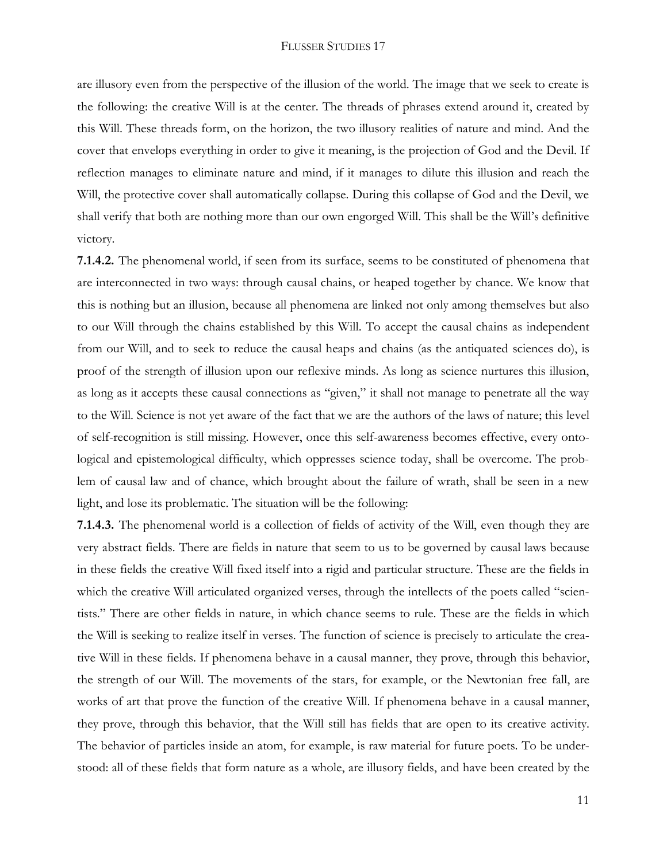are illusory even from the perspective of the illusion of the world. The image that we seek to create is the following: the creative Will is at the center. The threads of phrases extend around it, created by this Will. These threads form, on the horizon, the two illusory realities of nature and mind. And the cover that envelops everything in order to give it meaning, is the projection of God and the Devil. If reflection manages to eliminate nature and mind, if it manages to dilute this illusion and reach the Will, the protective cover shall automatically collapse. During this collapse of God and the Devil, we shall verify that both are nothing more than our own engorged Will. This shall be the Will's definitive victory.

**7.1.4.2.** The phenomenal world, if seen from its surface, seems to be constituted of phenomena that are interconnected in two ways: through causal chains, or heaped together by chance. We know that this is nothing but an illusion, because all phenomena are linked not only among themselves but also to our Will through the chains established by this Will. To accept the causal chains as independent from our Will, and to seek to reduce the causal heaps and chains (as the antiquated sciences do), is proof of the strength of illusion upon our reflexive minds. As long as science nurtures this illusion, as long as it accepts these causal connections as "given," it shall not manage to penetrate all the way to the Will. Science is not yet aware of the fact that we are the authors of the laws of nature; this level of self-recognition is still missing. However, once this self-awareness becomes effective, every ontological and epistemological difficulty, which oppresses science today, shall be overcome. The problem of causal law and of chance, which brought about the failure of wrath, shall be seen in a new light, and lose its problematic. The situation will be the following:

**7.1.4.3.** The phenomenal world is a collection of fields of activity of the Will, even though they are very abstract fields. There are fields in nature that seem to us to be governed by causal laws because in these fields the creative Will fixed itself into a rigid and particular structure. These are the fields in which the creative Will articulated organized verses, through the intellects of the poets called "scientists." There are other fields in nature, in which chance seems to rule. These are the fields in which the Will is seeking to realize itself in verses. The function of science is precisely to articulate the creative Will in these fields. If phenomena behave in a causal manner, they prove, through this behavior, the strength of our Will. The movements of the stars, for example, or the Newtonian free fall, are works of art that prove the function of the creative Will. If phenomena behave in a causal manner, they prove, through this behavior, that the Will still has fields that are open to its creative activity. The behavior of particles inside an atom, for example, is raw material for future poets. To be understood: all of these fields that form nature as a whole, are illusory fields, and have been created by the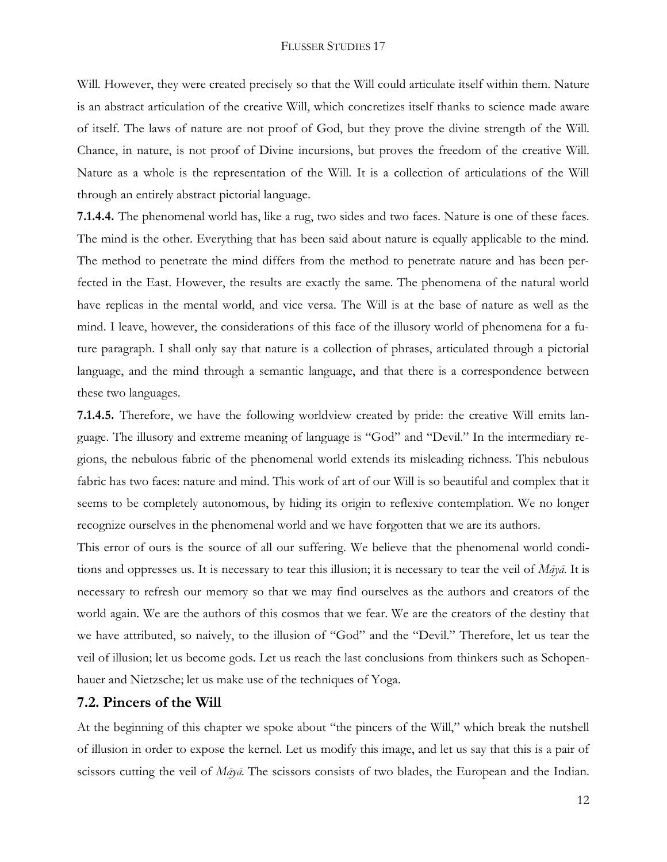Will. However, they were created precisely so that the Will could articulate itself within them. Nature is an abstract articulation of the creative Will, which concretizes itself thanks to science made aware of itself. The laws of nature are not proof of God, but they prove the divine strength of the Will. Chance, in nature, is not proof of Divine incursions, but proves the freedom of the creative Will. Nature as a whole is the representation of the Will. It is a collection of articulations of the Will through an entirely abstract pictorial language.

**7.1.4.4.** The phenomenal world has, like a rug, two sides and two faces. Nature is one of these faces. The mind is the other. Everything that has been said about nature is equally applicable to the mind. The method to penetrate the mind differs from the method to penetrate nature and has been perfected in the East. However, the results are exactly the same. The phenomena of the natural world have replicas in the mental world, and vice versa. The Will is at the base of nature as well as the mind. I leave, however, the considerations of this face of the illusory world of phenomena for a future paragraph. I shall only say that nature is a collection of phrases, articulated through a pictorial language, and the mind through a semantic language, and that there is a correspondence between these two languages.

**7.1.4.5.** Therefore, we have the following worldview created by pride: the creative Will emits language. The illusory and extreme meaning of language is "God" and "Devil." In the intermediary regions, the nebulous fabric of the phenomenal world extends its misleading richness. This nebulous fabric has two faces: nature and mind. This work of art of our Will is so beautiful and complex that it seems to be completely autonomous, by hiding its origin to reflexive contemplation. We no longer recognize ourselves in the phenomenal world and we have forgotten that we are its authors.

This error of ours is the source of all our suffering. We believe that the phenomenal world conditions and oppresses us. It is necessary to tear this illusion; it is necessary to tear the veil of *Māyā.* It is necessary to refresh our memory so that we may find ourselves as the authors and creators of the world again. We are the authors of this cosmos that we fear. We are the creators of the destiny that we have attributed, so naively, to the illusion of "God" and the "Devil." Therefore, let us tear the veil of illusion; let us become gods. Let us reach the last conclusions from thinkers such as Schopenhauer and Nietzsche; let us make use of the techniques of Yoga.

# **7.2. Pincers of the Will**

At the beginning of this chapter we spoke about "the pincers of the Will," which break the nutshell of illusion in order to expose the kernel. Let us modify this image, and let us say that this is a pair of scissors cutting the veil of *Māyā.* The scissors consists of two blades, the European and the Indian.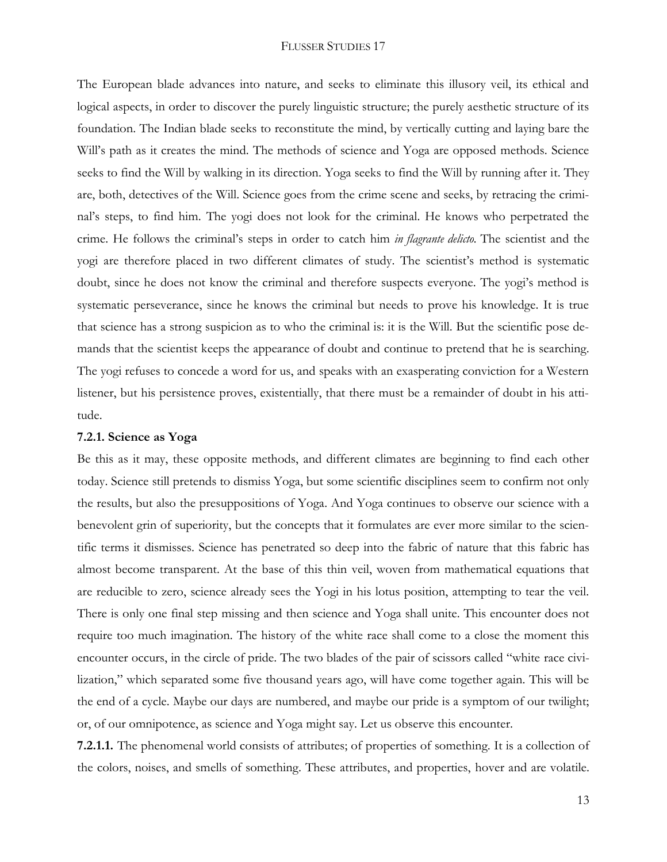The European blade advances into nature, and seeks to eliminate this illusory veil, its ethical and logical aspects, in order to discover the purely linguistic structure; the purely aesthetic structure of its foundation. The Indian blade seeks to reconstitute the mind, by vertically cutting and laying bare the Will's path as it creates the mind. The methods of science and Yoga are opposed methods. Science seeks to find the Will by walking in its direction. Yoga seeks to find the Will by running after it. They are, both, detectives of the Will. Science goes from the crime scene and seeks, by retracing the criminal's steps, to find him. The yogi does not look for the criminal. He knows who perpetrated the crime. He follows the criminal's steps in order to catch him *in flagrante delicto.* The scientist and the yogi are therefore placed in two different climates of study. The scientist's method is systematic doubt, since he does not know the criminal and therefore suspects everyone. The yogi's method is systematic perseverance, since he knows the criminal but needs to prove his knowledge. It is true that science has a strong suspicion as to who the criminal is: it is the Will. But the scientific pose demands that the scientist keeps the appearance of doubt and continue to pretend that he is searching. The yogi refuses to concede a word for us, and speaks with an exasperating conviction for a Western listener, but his persistence proves, existentially, that there must be a remainder of doubt in his attitude.

# **7.2.1. Science as Yoga**

Be this as it may, these opposite methods, and different climates are beginning to find each other today. Science still pretends to dismiss Yoga, but some scientific disciplines seem to confirm not only the results, but also the presuppositions of Yoga. And Yoga continues to observe our science with a benevolent grin of superiority, but the concepts that it formulates are ever more similar to the scientific terms it dismisses. Science has penetrated so deep into the fabric of nature that this fabric has almost become transparent. At the base of this thin veil, woven from mathematical equations that are reducible to zero, science already sees the Yogi in his lotus position, attempting to tear the veil. There is only one final step missing and then science and Yoga shall unite. This encounter does not require too much imagination. The history of the white race shall come to a close the moment this encounter occurs, in the circle of pride. The two blades of the pair of scissors called "white race civilization," which separated some five thousand years ago, will have come together again. This will be the end of a cycle. Maybe our days are numbered, and maybe our pride is a symptom of our twilight; or, of our omnipotence, as science and Yoga might say. Let us observe this encounter.

**7.2.1.1.** The phenomenal world consists of attributes; of properties of something. It is a collection of the colors, noises, and smells of something. These attributes, and properties, hover and are volatile.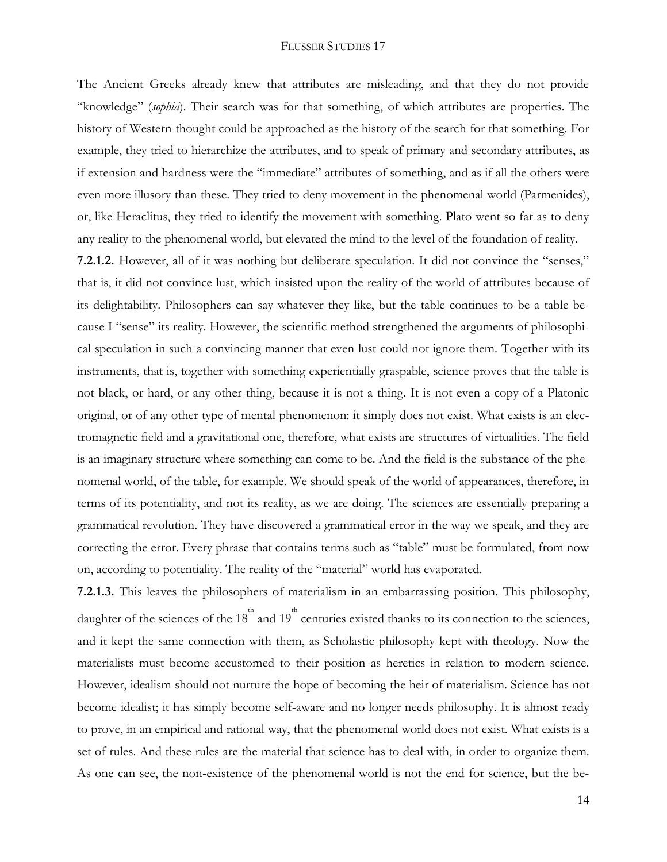The Ancient Greeks already knew that attributes are misleading, and that they do not provide "knowledge" (*sophia*). Their search was for that something, of which attributes are properties. The history of Western thought could be approached as the history of the search for that something. For example, they tried to hierarchize the attributes, and to speak of primary and secondary attributes, as if extension and hardness were the "immediate" attributes of something, and as if all the others were even more illusory than these. They tried to deny movement in the phenomenal world (Parmenides), or, like Heraclitus, they tried to identify the movement with something. Plato went so far as to deny any reality to the phenomenal world, but elevated the mind to the level of the foundation of reality.

**7.2.1.2.** However, all of it was nothing but deliberate speculation. It did not convince the "senses," that is, it did not convince lust, which insisted upon the reality of the world of attributes because of its delightability. Philosophers can say whatever they like, but the table continues to be a table because I "sense" its reality. However, the scientific method strengthened the arguments of philosophical speculation in such a convincing manner that even lust could not ignore them. Together with its instruments, that is, together with something experientially graspable, science proves that the table is not black, or hard, or any other thing, because it is not a thing. It is not even a copy of a Platonic original, or of any other type of mental phenomenon: it simply does not exist. What exists is an electromagnetic field and a gravitational one, therefore, what exists are structures of virtualities. The field is an imaginary structure where something can come to be. And the field is the substance of the phenomenal world, of the table, for example. We should speak of the world of appearances, therefore, in terms of its potentiality, and not its reality, as we are doing. The sciences are essentially preparing a grammatical revolution. They have discovered a grammatical error in the way we speak, and they are correcting the error. Every phrase that contains terms such as "table" must be formulated, from now on, according to potentiality. The reality of the "material" world has evaporated.

**7.2.1.3.** This leaves the philosophers of materialism in an embarrassing position. This philosophy, daughter of the sciences of the 18 $\degree$  and 19 $\degree$  centuries existed thanks to its connection to the sciences, and it kept the same connection with them, as Scholastic philosophy kept with theology. Now the materialists must become accustomed to their position as heretics in relation to modern science. However, idealism should not nurture the hope of becoming the heir of materialism. Science has not become idealist; it has simply become self-aware and no longer needs philosophy. It is almost ready to prove, in an empirical and rational way, that the phenomenal world does not exist. What exists is a set of rules. And these rules are the material that science has to deal with, in order to organize them. As one can see, the non-existence of the phenomenal world is not the end for science, but the be-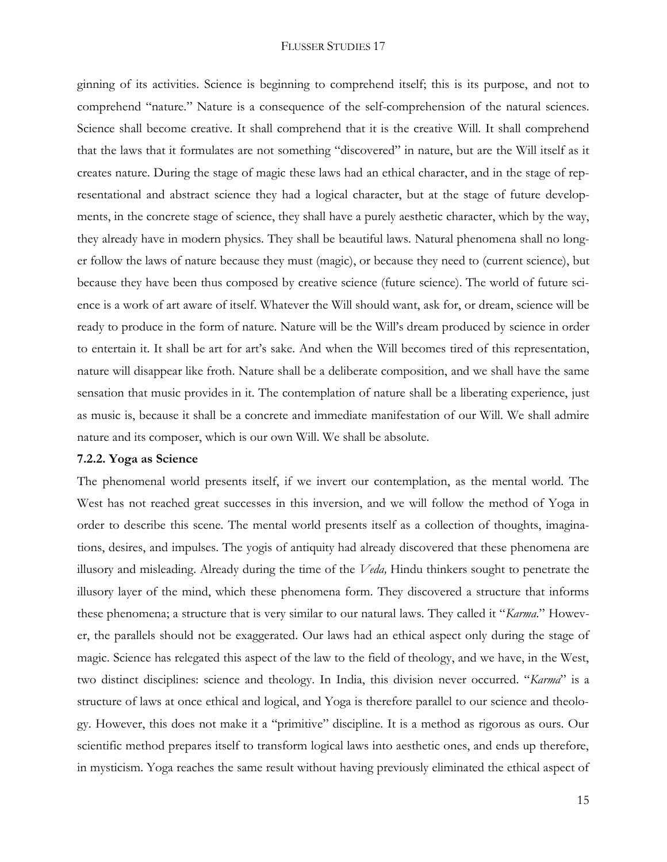ginning of its activities. Science is beginning to comprehend itself; this is its purpose, and not to comprehend "nature." Nature is a consequence of the self-comprehension of the natural sciences. Science shall become creative. It shall comprehend that it is the creative Will. It shall comprehend that the laws that it formulates are not something "discovered" in nature, but are the Will itself as it creates nature. During the stage of magic these laws had an ethical character, and in the stage of representational and abstract science they had a logical character, but at the stage of future developments, in the concrete stage of science, they shall have a purely aesthetic character, which by the way, they already have in modern physics. They shall be beautiful laws. Natural phenomena shall no longer follow the laws of nature because they must (magic), or because they need to (current science), but because they have been thus composed by creative science (future science). The world of future science is a work of art aware of itself. Whatever the Will should want, ask for, or dream, science will be ready to produce in the form of nature. Nature will be the Will's dream produced by science in order to entertain it. It shall be art for art's sake. And when the Will becomes tired of this representation, nature will disappear like froth. Nature shall be a deliberate composition, and we shall have the same sensation that music provides in it. The contemplation of nature shall be a liberating experience, just as music is, because it shall be a concrete and immediate manifestation of our Will. We shall admire nature and its composer, which is our own Will. We shall be absolute.

# **7.2.2. Yoga as Science**

The phenomenal world presents itself, if we invert our contemplation, as the mental world. The West has not reached great successes in this inversion, and we will follow the method of Yoga in order to describe this scene. The mental world presents itself as a collection of thoughts, imaginations, desires, and impulses. The yogis of antiquity had already discovered that these phenomena are illusory and misleading. Already during the time of the *Veda,* Hindu thinkers sought to penetrate the illusory layer of the mind, which these phenomena form. They discovered a structure that informs these phenomena; a structure that is very similar to our natural laws. They called it "*Karma*." However, the parallels should not be exaggerated. Our laws had an ethical aspect only during the stage of magic. Science has relegated this aspect of the law to the field of theology, and we have, in the West, two distinct disciplines: science and theology. In India, this division never occurred. "*Karma*" is a structure of laws at once ethical and logical, and Yoga is therefore parallel to our science and theology. However, this does not make it a "primitive" discipline. It is a method as rigorous as ours. Our scientific method prepares itself to transform logical laws into aesthetic ones, and ends up therefore, in mysticism. Yoga reaches the same result without having previously eliminated the ethical aspect of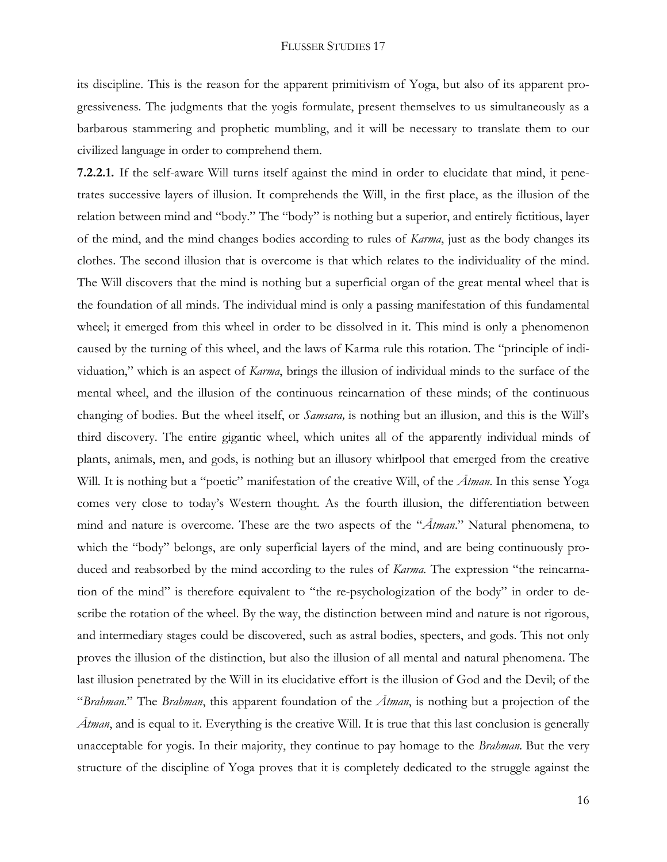its discipline. This is the reason for the apparent primitivism of Yoga, but also of its apparent progressiveness. The judgments that the yogis formulate, present themselves to us simultaneously as a barbarous stammering and prophetic mumbling, and it will be necessary to translate them to our civilized language in order to comprehend them.

**7.2.2.1.** If the self-aware Will turns itself against the mind in order to elucidate that mind, it penetrates successive layers of illusion. It comprehends the Will, in the first place, as the illusion of the relation between mind and "body." The "body" is nothing but a superior, and entirely fictitious, layer of the mind, and the mind changes bodies according to rules of *Karma*, just as the body changes its clothes. The second illusion that is overcome is that which relates to the individuality of the mind. The Will discovers that the mind is nothing but a superficial organ of the great mental wheel that is the foundation of all minds. The individual mind is only a passing manifestation of this fundamental wheel; it emerged from this wheel in order to be dissolved in it. This mind is only a phenomenon caused by the turning of this wheel, and the laws of Karma rule this rotation*.* The "principle of individuation," which is an aspect of *Karma*, brings the illusion of individual minds to the surface of the mental wheel, and the illusion of the continuous reincarnation of these minds; of the continuous changing of bodies. But the wheel itself, or *Samsara,* is nothing but an illusion, and this is the Will's third discovery. The entire gigantic wheel, which unites all of the apparently individual minds of plants, animals, men, and gods, is nothing but an illusory whirlpool that emerged from the creative Will. It is nothing but a "poetic" manifestation of the creative Will, of the *Ātman.* In this sense Yoga comes very close to today's Western thought. As the fourth illusion, the differentiation between mind and nature is overcome. These are the two aspects of the "*Ātman*." Natural phenomena, to which the "body" belongs, are only superficial layers of the mind, and are being continuously produced and reabsorbed by the mind according to the rules of *Karma.* The expression "the reincarnation of the mind" is therefore equivalent to "the re-psychologization of the body" in order to describe the rotation of the wheel. By the way, the distinction between mind and nature is not rigorous, and intermediary stages could be discovered, such as astral bodies, specters, and gods. This not only proves the illusion of the distinction, but also the illusion of all mental and natural phenomena. The last illusion penetrated by the Will in its elucidative effort is the illusion of God and the Devil; of the "*Brahman.*" The *Brahman*, this apparent foundation of the *Ātman*, is nothing but a projection of the *Ātman*, and is equal to it. Everything is the creative Will. It is true that this last conclusion is generally unacceptable for yogis. In their majority, they continue to pay homage to the *Brahman.* But the very structure of the discipline of Yoga proves that it is completely dedicated to the struggle against the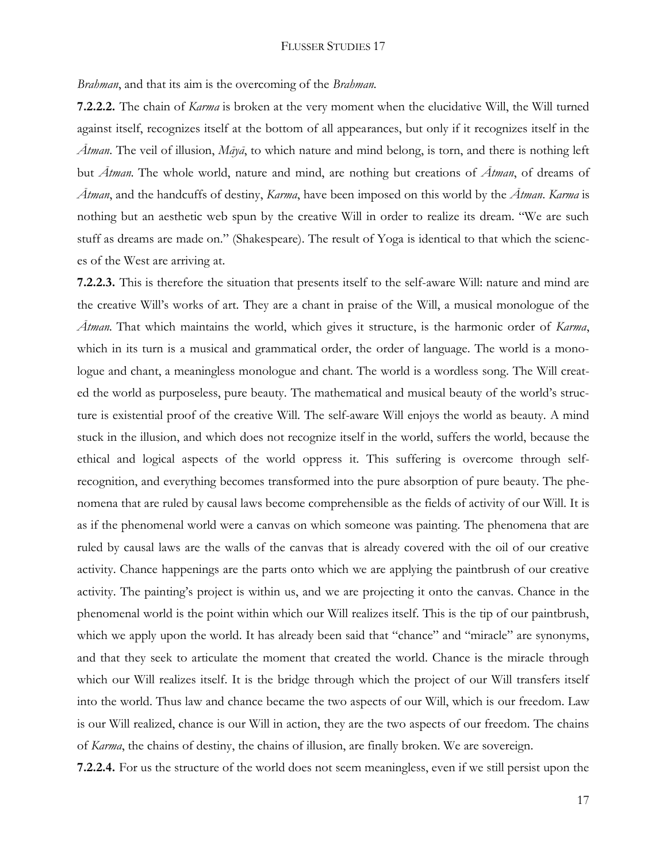*Brahman*, and that its aim is the overcoming of the *Brahman.*

**7.2.2.2.** The chain of *Karma* is broken at the very moment when the elucidative Will, the Will turned against itself, recognizes itself at the bottom of all appearances, but only if it recognizes itself in the *Ātman*. The veil of illusion, *Māyā*, to which nature and mind belong, is torn, and there is nothing left but *Ātman.* The whole world, nature and mind, are nothing but creations of *Ātman*, of dreams of *Ātman*, and the handcuffs of destiny, *Karma*, have been imposed on this world by the *Ātman*. *Karma* is nothing but an aesthetic web spun by the creative Will in order to realize its dream. "We are such stuff as dreams are made on." (Shakespeare). The result of Yoga is identical to that which the sciences of the West are arriving at.

**7.2.2.3.** This is therefore the situation that presents itself to the self-aware Will: nature and mind are the creative Will's works of art. They are a chant in praise of the Will, a musical monologue of the *Ātman.* That which maintains the world, which gives it structure, is the harmonic order of *Karma*, which in its turn is a musical and grammatical order, the order of language. The world is a monologue and chant, a meaningless monologue and chant. The world is a wordless song. The Will created the world as purposeless, pure beauty. The mathematical and musical beauty of the world's structure is existential proof of the creative Will. The self-aware Will enjoys the world as beauty. A mind stuck in the illusion, and which does not recognize itself in the world, suffers the world, because the ethical and logical aspects of the world oppress it. This suffering is overcome through selfrecognition, and everything becomes transformed into the pure absorption of pure beauty. The phenomena that are ruled by causal laws become comprehensible as the fields of activity of our Will. It is as if the phenomenal world were a canvas on which someone was painting. The phenomena that are ruled by causal laws are the walls of the canvas that is already covered with the oil of our creative activity. Chance happenings are the parts onto which we are applying the paintbrush of our creative activity. The painting's project is within us, and we are projecting it onto the canvas. Chance in the phenomenal world is the point within which our Will realizes itself. This is the tip of our paintbrush, which we apply upon the world. It has already been said that "chance" and "miracle" are synonyms, and that they seek to articulate the moment that created the world. Chance is the miracle through which our Will realizes itself. It is the bridge through which the project of our Will transfers itself into the world. Thus law and chance became the two aspects of our Will, which is our freedom. Law is our Will realized, chance is our Will in action, they are the two aspects of our freedom. The chains of *Karma*, the chains of destiny, the chains of illusion, are finally broken. We are sovereign.

**7.2.2.4.** For us the structure of the world does not seem meaningless, even if we still persist upon the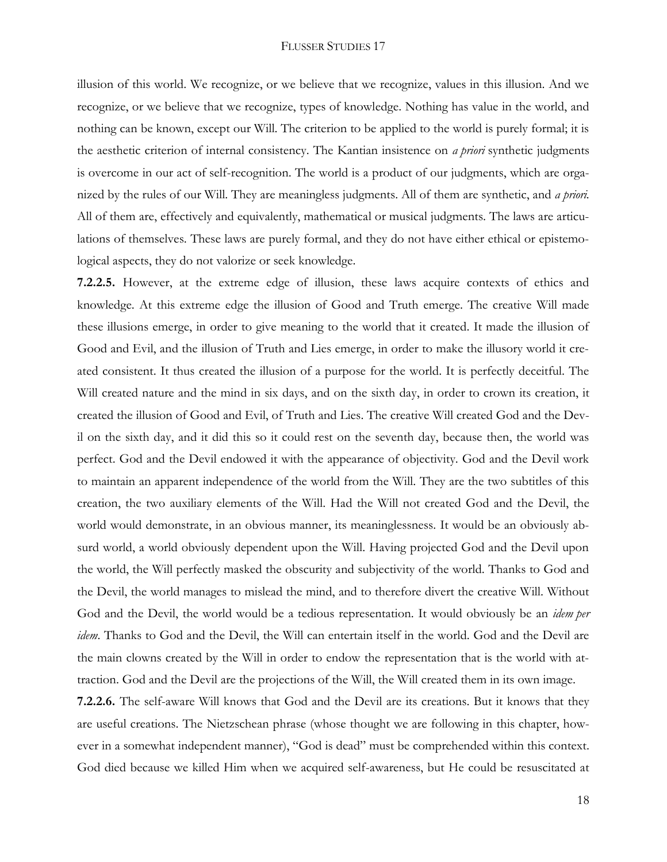illusion of this world. We recognize, or we believe that we recognize, values in this illusion. And we recognize, or we believe that we recognize, types of knowledge. Nothing has value in the world, and nothing can be known, except our Will. The criterion to be applied to the world is purely formal; it is the aesthetic criterion of internal consistency. The Kantian insistence on *a priori* synthetic judgments is overcome in our act of self-recognition. The world is a product of our judgments, which are organized by the rules of our Will. They are meaningless judgments. All of them are synthetic, and *a priori.*  All of them are, effectively and equivalently, mathematical or musical judgments. The laws are articulations of themselves. These laws are purely formal, and they do not have either ethical or epistemological aspects, they do not valorize or seek knowledge.

**7.2.2.5.** However, at the extreme edge of illusion, these laws acquire contexts of ethics and knowledge. At this extreme edge the illusion of Good and Truth emerge. The creative Will made these illusions emerge, in order to give meaning to the world that it created. It made the illusion of Good and Evil, and the illusion of Truth and Lies emerge, in order to make the illusory world it created consistent. It thus created the illusion of a purpose for the world. It is perfectly deceitful. The Will created nature and the mind in six days, and on the sixth day, in order to crown its creation, it created the illusion of Good and Evil, of Truth and Lies. The creative Will created God and the Devil on the sixth day, and it did this so it could rest on the seventh day, because then, the world was perfect. God and the Devil endowed it with the appearance of objectivity. God and the Devil work to maintain an apparent independence of the world from the Will. They are the two subtitles of this creation, the two auxiliary elements of the Will. Had the Will not created God and the Devil, the world would demonstrate, in an obvious manner, its meaninglessness. It would be an obviously absurd world, a world obviously dependent upon the Will. Having projected God and the Devil upon the world, the Will perfectly masked the obscurity and subjectivity of the world. Thanks to God and the Devil, the world manages to mislead the mind, and to therefore divert the creative Will. Without God and the Devil, the world would be a tedious representation. It would obviously be an *idem per idem*. Thanks to God and the Devil, the Will can entertain itself in the world. God and the Devil are the main clowns created by the Will in order to endow the representation that is the world with attraction. God and the Devil are the projections of the Will, the Will created them in its own image.

**7.2.2.6.** The self-aware Will knows that God and the Devil are its creations. But it knows that they are useful creations. The Nietzschean phrase (whose thought we are following in this chapter, however in a somewhat independent manner), "God is dead" must be comprehended within this context. God died because we killed Him when we acquired self-awareness, but He could be resuscitated at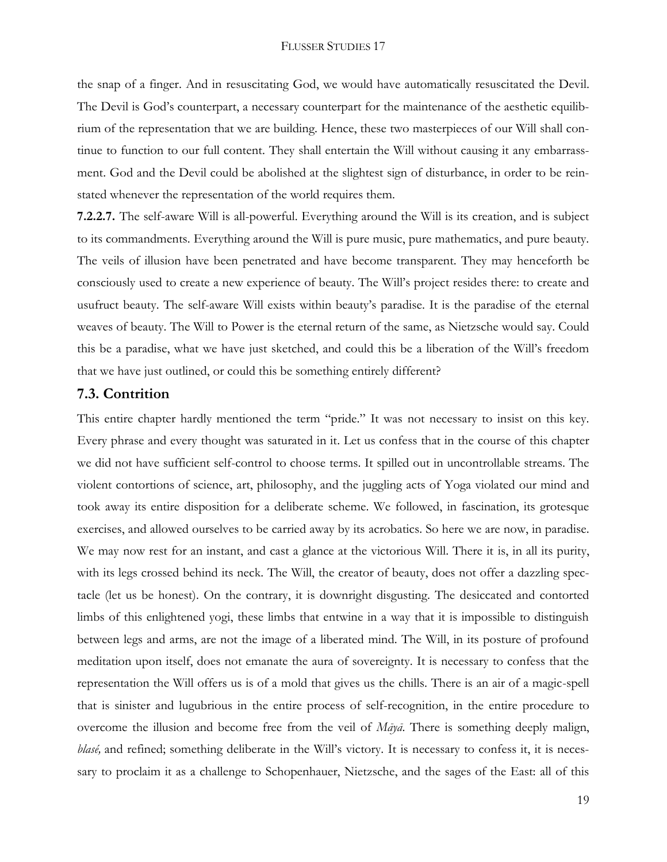the snap of a finger. And in resuscitating God, we would have automatically resuscitated the Devil. The Devil is God's counterpart, a necessary counterpart for the maintenance of the aesthetic equilibrium of the representation that we are building. Hence, these two masterpieces of our Will shall continue to function to our full content. They shall entertain the Will without causing it any embarrassment. God and the Devil could be abolished at the slightest sign of disturbance, in order to be reinstated whenever the representation of the world requires them.

**7.2.2.7.** The self-aware Will is all-powerful. Everything around the Will is its creation, and is subject to its commandments. Everything around the Will is pure music, pure mathematics, and pure beauty. The veils of illusion have been penetrated and have become transparent. They may henceforth be consciously used to create a new experience of beauty. The Will's project resides there: to create and usufruct beauty. The self-aware Will exists within beauty's paradise. It is the paradise of the eternal weaves of beauty. The Will to Power is the eternal return of the same, as Nietzsche would say. Could this be a paradise, what we have just sketched, and could this be a liberation of the Will's freedom that we have just outlined, or could this be something entirely different?

# **7.3. Contrition**

This entire chapter hardly mentioned the term "pride." It was not necessary to insist on this key. Every phrase and every thought was saturated in it. Let us confess that in the course of this chapter we did not have sufficient self-control to choose terms. It spilled out in uncontrollable streams. The violent contortions of science, art, philosophy, and the juggling acts of Yoga violated our mind and took away its entire disposition for a deliberate scheme. We followed, in fascination, its grotesque exercises, and allowed ourselves to be carried away by its acrobatics. So here we are now, in paradise. We may now rest for an instant, and cast a glance at the victorious Will. There it is, in all its purity, with its legs crossed behind its neck. The Will, the creator of beauty, does not offer a dazzling spectacle (let us be honest). On the contrary, it is downright disgusting. The desiccated and contorted limbs of this enlightened yogi, these limbs that entwine in a way that it is impossible to distinguish between legs and arms, are not the image of a liberated mind. The Will, in its posture of profound meditation upon itself, does not emanate the aura of sovereignty. It is necessary to confess that the representation the Will offers us is of a mold that gives us the chills. There is an air of a magic-spell that is sinister and lugubrious in the entire process of self-recognition, in the entire procedure to overcome the illusion and become free from the veil of *Māyā*. There is something deeply malign, *blasé*, and refined; something deliberate in the Will's victory. It is necessary to confess it, it is necessary to proclaim it as a challenge to Schopenhauer, Nietzsche, and the sages of the East: all of this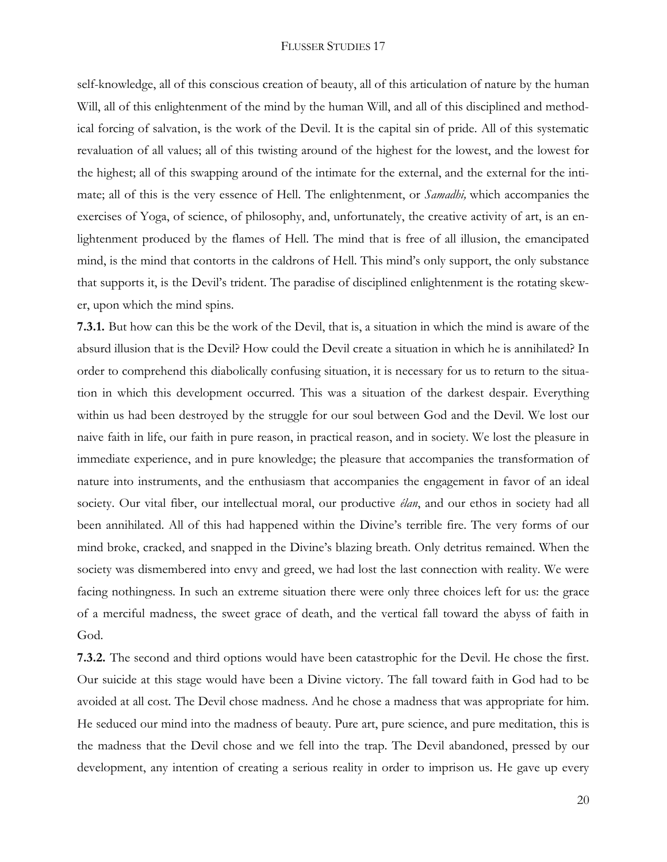self-knowledge, all of this conscious creation of beauty, all of this articulation of nature by the human Will, all of this enlightenment of the mind by the human Will, and all of this disciplined and methodical forcing of salvation, is the work of the Devil. It is the capital sin of pride. All of this systematic revaluation of all values; all of this twisting around of the highest for the lowest, and the lowest for the highest; all of this swapping around of the intimate for the external, and the external for the intimate; all of this is the very essence of Hell. The enlightenment, or *Samadhi,* which accompanies the exercises of Yoga, of science, of philosophy, and, unfortunately, the creative activity of art, is an enlightenment produced by the flames of Hell. The mind that is free of all illusion, the emancipated mind, is the mind that contorts in the caldrons of Hell. This mind's only support, the only substance that supports it, is the Devil's trident. The paradise of disciplined enlightenment is the rotating skewer, upon which the mind spins.

**7.3.1.** But how can this be the work of the Devil, that is, a situation in which the mind is aware of the absurd illusion that is the Devil? How could the Devil create a situation in which he is annihilated? In order to comprehend this diabolically confusing situation, it is necessary for us to return to the situation in which this development occurred. This was a situation of the darkest despair. Everything within us had been destroyed by the struggle for our soul between God and the Devil. We lost our naive faith in life, our faith in pure reason, in practical reason, and in society. We lost the pleasure in immediate experience, and in pure knowledge; the pleasure that accompanies the transformation of nature into instruments, and the enthusiasm that accompanies the engagement in favor of an ideal society. Our vital fiber, our intellectual moral, our productive *élan*, and our ethos in society had all been annihilated. All of this had happened within the Divine's terrible fire. The very forms of our mind broke, cracked, and snapped in the Divine's blazing breath. Only detritus remained. When the society was dismembered into envy and greed, we had lost the last connection with reality. We were facing nothingness. In such an extreme situation there were only three choices left for us: the grace of a merciful madness, the sweet grace of death, and the vertical fall toward the abyss of faith in God.

**7.3.2.** The second and third options would have been catastrophic for the Devil. He chose the first. Our suicide at this stage would have been a Divine victory. The fall toward faith in God had to be avoided at all cost. The Devil chose madness. And he chose a madness that was appropriate for him. He seduced our mind into the madness of beauty. Pure art, pure science, and pure meditation, this is the madness that the Devil chose and we fell into the trap. The Devil abandoned, pressed by our development, any intention of creating a serious reality in order to imprison us. He gave up every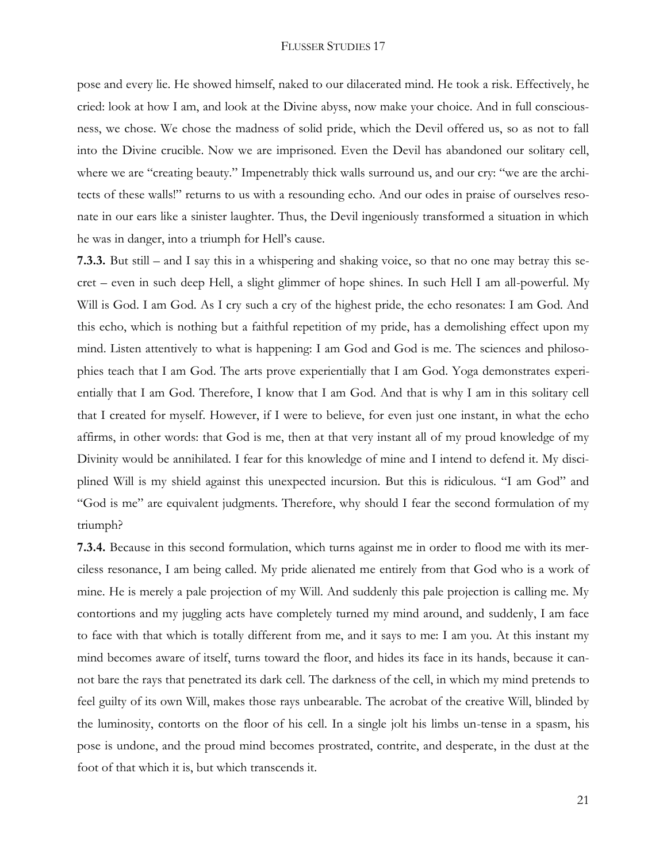pose and every lie. He showed himself, naked to our dilacerated mind. He took a risk. Effectively, he cried: look at how I am, and look at the Divine abyss, now make your choice. And in full consciousness, we chose. We chose the madness of solid pride, which the Devil offered us, so as not to fall into the Divine crucible. Now we are imprisoned. Even the Devil has abandoned our solitary cell, where we are "creating beauty." Impenetrably thick walls surround us, and our cry: "we are the architects of these walls!" returns to us with a resounding echo. And our odes in praise of ourselves resonate in our ears like a sinister laughter. Thus, the Devil ingeniously transformed a situation in which he was in danger, into a triumph for Hell's cause.

**7.3.3.** But still – and I say this in a whispering and shaking voice, so that no one may betray this secret – even in such deep Hell, a slight glimmer of hope shines. In such Hell I am all-powerful. My Will is God. I am God. As I cry such a cry of the highest pride, the echo resonates: I am God. And this echo, which is nothing but a faithful repetition of my pride, has a demolishing effect upon my mind. Listen attentively to what is happening: I am God and God is me. The sciences and philosophies teach that I am God. The arts prove experientially that I am God. Yoga demonstrates experientially that I am God. Therefore, I know that I am God. And that is why I am in this solitary cell that I created for myself. However, if I were to believe, for even just one instant, in what the echo affirms, in other words: that God is me, then at that very instant all of my proud knowledge of my Divinity would be annihilated. I fear for this knowledge of mine and I intend to defend it. My disciplined Will is my shield against this unexpected incursion. But this is ridiculous. "I am God" and "God is me" are equivalent judgments. Therefore, why should I fear the second formulation of my triumph?

**7.3.4.** Because in this second formulation, which turns against me in order to flood me with its merciless resonance, I am being called. My pride alienated me entirely from that God who is a work of mine. He is merely a pale projection of my Will. And suddenly this pale projection is calling me. My contortions and my juggling acts have completely turned my mind around, and suddenly, I am face to face with that which is totally different from me, and it says to me: I am you. At this instant my mind becomes aware of itself, turns toward the floor, and hides its face in its hands, because it cannot bare the rays that penetrated its dark cell. The darkness of the cell, in which my mind pretends to feel guilty of its own Will, makes those rays unbearable. The acrobat of the creative Will, blinded by the luminosity, contorts on the floor of his cell. In a single jolt his limbs un-tense in a spasm, his pose is undone, and the proud mind becomes prostrated, contrite, and desperate, in the dust at the foot of that which it is, but which transcends it.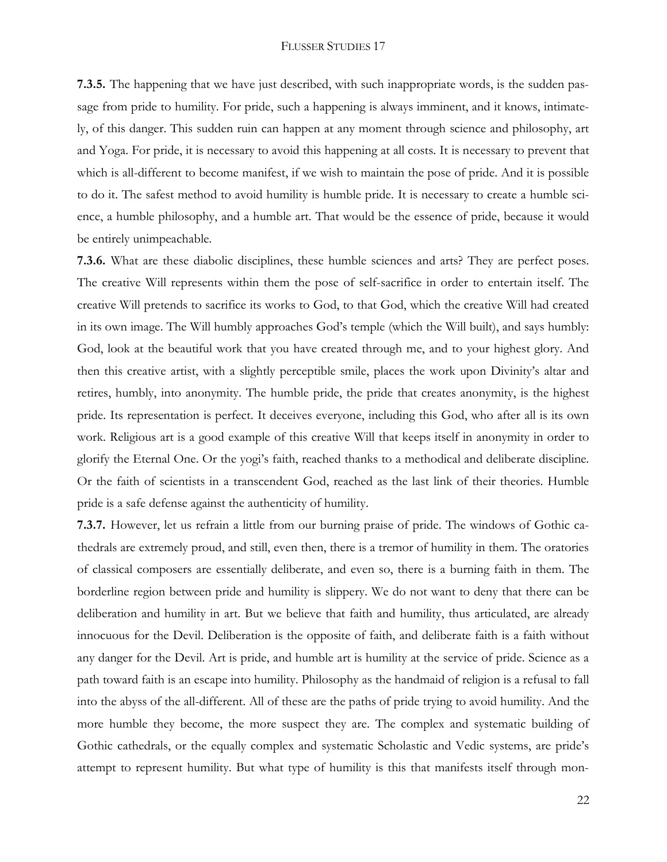**7.3.5.** The happening that we have just described, with such inappropriate words, is the sudden passage from pride to humility. For pride, such a happening is always imminent, and it knows, intimately, of this danger. This sudden ruin can happen at any moment through science and philosophy, art and Yoga. For pride, it is necessary to avoid this happening at all costs. It is necessary to prevent that which is all-different to become manifest, if we wish to maintain the pose of pride. And it is possible to do it. The safest method to avoid humility is humble pride. It is necessary to create a humble science, a humble philosophy, and a humble art. That would be the essence of pride, because it would be entirely unimpeachable.

**7.3.6.** What are these diabolic disciplines, these humble sciences and arts? They are perfect poses. The creative Will represents within them the pose of self-sacrifice in order to entertain itself. The creative Will pretends to sacrifice its works to God, to that God, which the creative Will had created in its own image. The Will humbly approaches God's temple (which the Will built), and says humbly: God, look at the beautiful work that you have created through me, and to your highest glory. And then this creative artist, with a slightly perceptible smile, places the work upon Divinity's altar and retires, humbly, into anonymity. The humble pride, the pride that creates anonymity, is the highest pride. Its representation is perfect. It deceives everyone, including this God, who after all is its own work. Religious art is a good example of this creative Will that keeps itself in anonymity in order to glorify the Eternal One. Or the yogi's faith, reached thanks to a methodical and deliberate discipline. Or the faith of scientists in a transcendent God, reached as the last link of their theories. Humble pride is a safe defense against the authenticity of humility.

**7.3.7.** However, let us refrain a little from our burning praise of pride. The windows of Gothic cathedrals are extremely proud, and still, even then, there is a tremor of humility in them. The oratories of classical composers are essentially deliberate, and even so, there is a burning faith in them. The borderline region between pride and humility is slippery. We do not want to deny that there can be deliberation and humility in art. But we believe that faith and humility, thus articulated, are already innocuous for the Devil. Deliberation is the opposite of faith, and deliberate faith is a faith without any danger for the Devil. Art is pride, and humble art is humility at the service of pride. Science as a path toward faith is an escape into humility. Philosophy as the handmaid of religion is a refusal to fall into the abyss of the all-different. All of these are the paths of pride trying to avoid humility. And the more humble they become, the more suspect they are. The complex and systematic building of Gothic cathedrals, or the equally complex and systematic Scholastic and Vedic systems, are pride's attempt to represent humility. But what type of humility is this that manifests itself through mon-